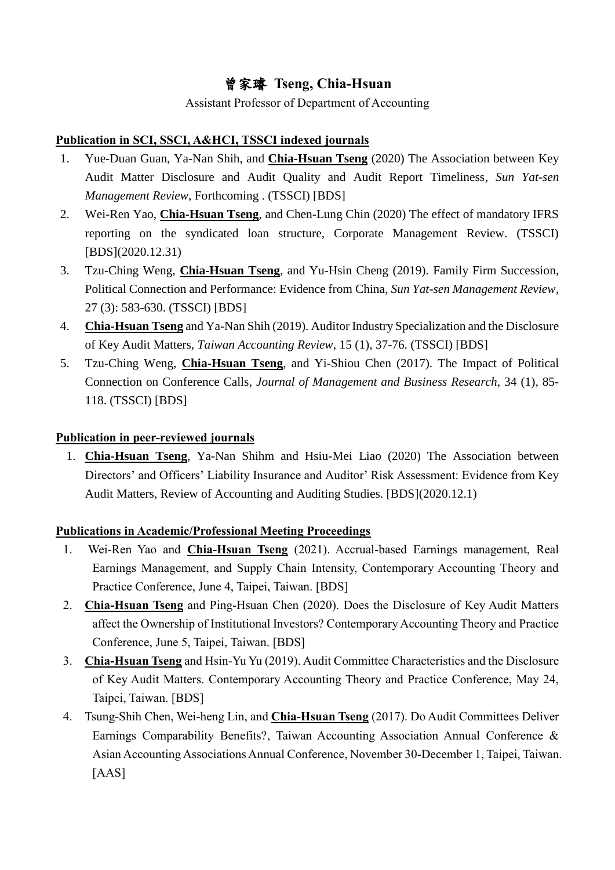# 曾家璿 **Tseng, Chia-Hsuan**

Assistant Professor of Department of Accounting

## **Publication in SCI, SSCI, A&HCI, TSSCI indexed journals**

- 1. Yue-Duan Guan, Ya-Nan Shih, and **Chia-Hsuan Tseng** (2020) The Association between Key Audit Matter Disclosure and Audit Quality and Audit Report Timeliness, *Sun Yat-sen Management Review*, Forthcoming . (TSSCI) [BDS]
- 2. Wei-Ren Yao, **Chia-Hsuan Tseng**, and Chen-Lung Chin (2020) The effect of mandatory IFRS reporting on the syndicated loan structure, Corporate Management Review. (TSSCI) [BDS](2020.12.31)
- 3. Tzu-Ching Weng, **Chia-Hsuan Tseng**, and Yu-Hsin Cheng (2019). Family Firm Succession, Political Connection and Performance: Evidence from China, *Sun Yat-sen Management Review*, 27 (3): 583-630. (TSSCI) [BDS]
- 4. **Chia-Hsuan Tseng** and Ya-Nan Shih (2019). Auditor Industry Specialization and the Disclosure of Key Audit Matters, *Taiwan Accounting Review*, 15 (1), 37-76. (TSSCI) [BDS]
- 5. Tzu-Ching Weng, **Chia-Hsuan Tseng**, and Yi-Shiou Chen (2017). The Impact of Political Connection on Conference Calls, *Journal of Management and Business Research*, 34 (1), 85- 118. (TSSCI) [BDS]

#### **Publication in peer-reviewed journals**

1. **Chia-Hsuan Tseng**, Ya-Nan Shihm and Hsiu-Mei Liao (2020) The Association between Directors' and Officers' Liability Insurance and Auditor' Risk Assessment: Evidence from Key Audit Matters, Review of Accounting and Auditing Studies. [BDS](2020.12.1)

#### **Publications in Academic/Professional Meeting Proceedings**

- 1. Wei-Ren Yao and **Chia-Hsuan Tseng** (2021). Accrual-based Earnings management, Real Earnings Management, and Supply Chain Intensity, Contemporary Accounting Theory and Practice Conference, June 4, Taipei, Taiwan. [BDS]
- 2. **Chia-Hsuan Tseng** and Ping-Hsuan Chen (2020). Does the Disclosure of Key Audit Matters affect the Ownership of Institutional Investors? Contemporary Accounting Theory and Practice Conference, June 5, Taipei, Taiwan. [BDS]
- 3. **Chia-Hsuan Tseng** and Hsin-Yu Yu (2019). Audit Committee Characteristics and the Disclosure of Key Audit Matters. Contemporary Accounting Theory and Practice Conference, May 24, Taipei, Taiwan. [BDS]
- 4. Tsung-Shih Chen, Wei-heng Lin, and **Chia-Hsuan Tseng** (2017). Do Audit Committees Deliver Earnings Comparability Benefits?, Taiwan Accounting Association Annual Conference & Asian Accounting Associations Annual Conference, November 30-December 1, Taipei, Taiwan. [AAS]